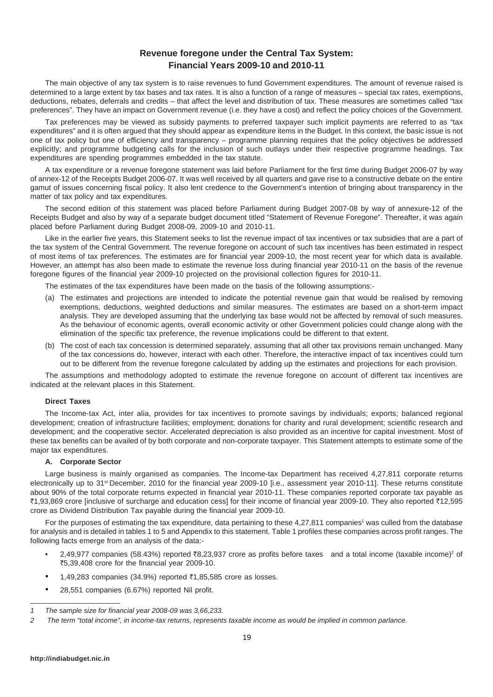# **Revenue foregone under the Central Tax System: Financial Years 2009-10 and 2010-11**

The main objective of any tax system is to raise revenues to fund Government expenditures. The amount of revenue raised is determined to a large extent by tax bases and tax rates. It is also a function of a range of measures – special tax rates, exemptions, deductions, rebates, deferrals and credits – that affect the level and distribution of tax. These measures are sometimes called "tax preferences". They have an impact on Government revenue (i.e. they have a cost) and reflect the policy choices of the Government.

Tax preferences may be viewed as subsidy payments to preferred taxpayer such implicit payments are referred to as "tax expenditures" and it is often argued that they should appear as expenditure items in the Budget. In this context, the basic issue is not one of tax policy but one of efficiency and transparency – programme planning requires that the policy objectives be addressed explicitly; and programme budgeting calls for the inclusion of such outlays under their respective programme headings. Tax expenditures are spending programmes embedded in the tax statute.

A tax expenditure or a revenue foregone statement was laid before Parliament for the first time during Budget 2006-07 by way of annex-12 of the Receipts Budget 2006-07. It was well received by all quarters and gave rise to a constructive debate on the entire gamut of issues concerning fiscal policy. It also lent credence to the Government's intention of bringing about transparency in the matter of tax policy and tax expenditures.

The second edition of this statement was placed before Parliament during Budget 2007-08 by way of annexure-12 of the Receipts Budget and also by way of a separate budget document titled "Statement of Revenue Foregone". Thereafter, it was again placed before Parliament during Budget 2008-09, 2009-10 and 2010-11.

Like in the earlier five years, this Statement seeks to list the revenue impact of tax incentives or tax subsidies that are a part of the tax system of the Central Government. The revenue foregone on account of such tax incentives has been estimated in respect of most items of tax preferences. The estimates are for financial year 2009-10, the most recent year for which data is available. However, an attempt has also been made to estimate the revenue loss during financial year 2010-11 on the basis of the revenue foregone figures of the financial year 2009-10 projected on the provisional collection figures for 2010-11.

The estimates of the tax expenditures have been made on the basis of the following assumptions:-

- (a) The estimates and projections are intended to indicate the potential revenue gain that would be realised by removing exemptions, deductions, weighted deductions and similar measures. The estimates are based on a short-term impact analysis. They are developed assuming that the underlying tax base would not be affected by removal of such measures. As the behaviour of economic agents, overall economic activity or other Government policies could change along with the elimination of the specific tax preference, the revenue implications could be different to that extent.
- (b) The cost of each tax concession is determined separately, assuming that all other tax provisions remain unchanged. Many of the tax concessions do, however, interact with each other. Therefore, the interactive impact of tax incentives could turn out to be different from the revenue foregone calculated by adding up the estimates and projections for each provision.

The assumptions and methodology adopted to estimate the revenue foregone on account of different tax incentives are indicated at the relevant places in this Statement.

### **Direct Taxes**

The Income-tax Act, inter alia, provides for tax incentives to promote savings by individuals; exports; balanced regional development; creation of infrastructure facilities; employment; donations for charity and rural development; scientific research and development; and the cooperative sector. Accelerated depreciation is also provided as an incentive for capital investment. Most of these tax benefits can be availed of by both corporate and non-corporate taxpayer. This Statement attempts to estimate some of the major tax expenditures.

#### **A. Corporate Sector**

Large business is mainly organised as companies. The Income-tax Department has received 4,27,811 corporate returns electronically up to 31<sup>st</sup> December, 2010 for the financial year 2009-10 [i.e., assessment year 2010-11]. These returns constitute about 90% of the total corporate returns expected in financial year 2010-11. These companies reported corporate tax payable as `1,93,869 crore [inclusive of surcharge and education cess] for their income of financial year 2009-10. They also reported `12,595 crore as Dividend Distribution Tax payable during the financial year 2009-10.

For the purposes of estimating the tax expenditure, data pertaining to these 4,27,811 companies<sup>1</sup> was culled from the database for analysis and is detailed in tables 1 to 5 and Appendix to this statement. Table 1 profiles these companies across profit ranges. The following facts emerge from an analysis of the data:-

- 2,49,977 companies (58.43%) reported ₹8,23,937 crore as profits before taxes and a total income (taxable income)<sup>2</sup> of `5,39,408 crore for the financial year 2009-10.
- 1,49,283 companies (34.9%) reported  $\bar{\tau}$ 1,85,585 crore as losses.
- 28,551 companies (6.67%) reported Nil profit.

*<sup>1</sup> The sample size for financial year 2008-09 was 3,66,233.*

*<sup>2</sup> The term "total income", in income-tax returns, represents taxable income as would be implied in common parlance.*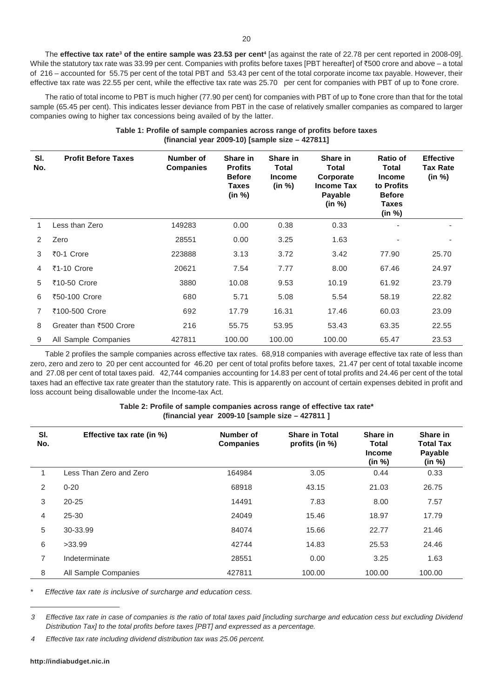The **effective tax rate<sup>3</sup> of the entire sample was 23.53 per cent<sup>4</sup> [as against the rate of 22.78 per cent reported in 2008-09].** While the statutory tax rate was 33.99 per cent. Companies with profits before taxes [PBT hereafter] of ₹500 crore and above – a total of 216 – accounted for 55.75 per cent of the total PBT and 53.43 per cent of the total corporate income tax payable. However, their effective tax rate was 22.55 per cent, while the effective tax rate was 25.70 per cent for companies with PBT of up to  $\bar{\tau}$ one crore.

The ratio of total income to PBT is much higher (77.90 per cent) for companies with PBT of up to  $\bar{\tau}$  one crore than that for the total sample (65.45 per cent). This indicates lesser deviance from PBT in the case of relatively smaller companies as compared to larger companies owing to higher tax concessions being availed of by the latter.

| Table 1: Profile of sample companies across range of profits before taxes |  |
|---------------------------------------------------------------------------|--|
| (financial year 2009-10) [sample size $-$ 427811]                         |  |

| SI.<br>No.    | <b>Profit Before Taxes</b> | Number of<br><b>Companies</b> | Share in<br><b>Profits</b><br><b>Before</b><br>Taxes<br>(in %) | Share in<br>Total<br><b>Income</b><br>(in %) | Share in<br>Total<br>Corporate<br><b>Income Tax</b><br>Payable<br>(in %) | Ratio of<br>Total<br><b>Income</b><br>to Profits<br><b>Before</b><br>Taxes<br>(in %) | <b>Effective</b><br><b>Tax Rate</b><br>(in %) |
|---------------|----------------------------|-------------------------------|----------------------------------------------------------------|----------------------------------------------|--------------------------------------------------------------------------|--------------------------------------------------------------------------------------|-----------------------------------------------|
| 1             | Less than Zero             | 149283                        | 0.00                                                           | 0.38                                         | 0.33                                                                     |                                                                                      |                                               |
| $\mathcal{P}$ | Zero                       | 28551                         | 0.00                                                           | 3.25                                         | 1.63                                                                     | ٠                                                                                    | ٠                                             |
| 3             | ₹0-1 Crore                 | 223888                        | 3.13                                                           | 3.72                                         | 3.42                                                                     | 77.90                                                                                | 25.70                                         |
| 4             | ₹1-10 Crore                | 20621                         | 7.54                                                           | 7.77                                         | 8.00                                                                     | 67.46                                                                                | 24.97                                         |
| 5             | ₹10-50 Crore               | 3880                          | 10.08                                                          | 9.53                                         | 10.19                                                                    | 61.92                                                                                | 23.79                                         |
| 6             | ₹50-100 Crore              | 680                           | 5.71                                                           | 5.08                                         | 5.54                                                                     | 58.19                                                                                | 22.82                                         |
| 7             | ₹100-500 Crore             | 692                           | 17.79                                                          | 16.31                                        | 17.46                                                                    | 60.03                                                                                | 23.09                                         |
| 8             | Greater than ₹500 Crore    | 216                           | 55.75                                                          | 53.95                                        | 53.43                                                                    | 63.35                                                                                | 22.55                                         |
| 9             | All Sample Companies       | 427811                        | 100.00                                                         | 100.00                                       | 100.00                                                                   | 65.47                                                                                | 23.53                                         |

Table 2 profiles the sample companies across effective tax rates. 68,918 companies with average effective tax rate of less than zero, zero and zero to 20 per cent accounted for 46.20 per cent of total profits before taxes, 21.47 per cent of total taxable income and 27.08 per cent of total taxes paid. 42,744 companies accounting for 14.83 per cent of total profits and 24.46 per cent of the total taxes had an effective tax rate greater than the statutory rate. This is apparently on account of certain expenses debited in profit and loss account being disallowable under the Income-tax Act.

### **Table 2: Profile of sample companies across range of effective tax rate\* (financial year 2009-10 [sample size – 427811 ]**

| SI.<br>No.     | Effective tax rate (in %) | Number of<br><b>Companies</b> | <b>Share in Total</b><br>profits (in %) | Share in<br><b>Total</b><br><b>Income</b><br>(in %) | Share in<br><b>Total Tax</b><br>Payable<br>(in %) |
|----------------|---------------------------|-------------------------------|-----------------------------------------|-----------------------------------------------------|---------------------------------------------------|
| 1              | Less Than Zero and Zero   | 164984                        | 3.05                                    | 0.44                                                | 0.33                                              |
| 2              | $0 - 20$                  | 68918                         | 43.15                                   | 21.03                                               | 26.75                                             |
| 3              | $20 - 25$                 | 14491                         | 7.83                                    | 8.00                                                | 7.57                                              |
| 4              | $25 - 30$                 | 24049                         | 15.46                                   | 18.97                                               | 17.79                                             |
| 5              | 30-33.99                  | 84074                         | 15.66                                   | 22.77                                               | 21.46                                             |
| 6              | >33.99                    | 42744                         | 14.83                                   | 25.53                                               | 24.46                                             |
| $\overline{7}$ | Indeterminate             | 28551                         | 0.00                                    | 3.25                                                | 1.63                                              |
| 8              | All Sample Companies      | 427811                        | 100.00                                  | 100.00                                              | 100.00                                            |

*\* Effective tax rate is inclusive of surcharge and education cess.*

*4 Effective tax rate including dividend distribution tax was 25.06 percent.*

*<sup>3</sup> Effective tax rate in case of companies is the ratio of total taxes paid [including surcharge and education cess but excluding Dividend Distribution Tax] to the total profits before taxes [PBT] and expressed as a percentage.*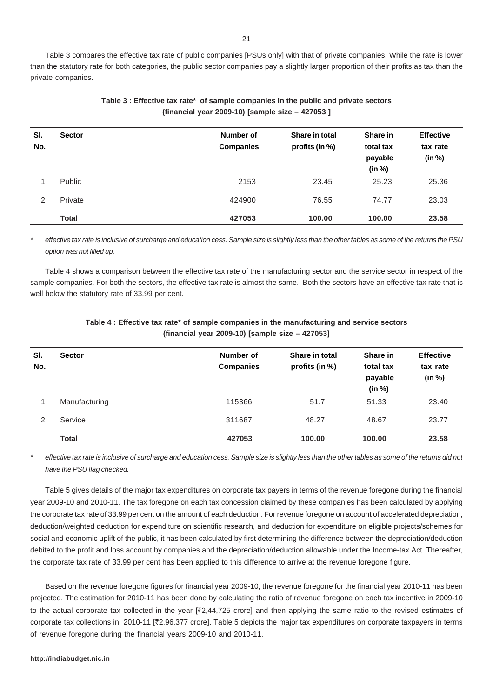Table 3 compares the effective tax rate of public companies [PSUs only] with that of private companies. While the rate is lower than the statutory rate for both categories, the public sector companies pay a slightly larger proportion of their profits as tax than the private companies.

| SI.<br>No.    | <b>Sector</b> | Number of<br><b>Companies</b> | Share in total<br>profits (in %) | Share in<br>total tax<br>payable<br>(in %) | <b>Effective</b><br>tax rate<br>(in %) |
|---------------|---------------|-------------------------------|----------------------------------|--------------------------------------------|----------------------------------------|
|               | Public        | 2153                          | 23.45                            | 25.23                                      | 25.36                                  |
| $\mathcal{P}$ | Private       | 424900                        | 76.55                            | 74.77                                      | 23.03                                  |
|               | <b>Total</b>  | 427053                        | 100.00                           | 100.00                                     | 23.58                                  |

# **Table 3 : Effective tax rate\* of sample companies in the public and private sectors (financial year 2009-10) [sample size – 427053 ]**

*\* effective tax rate is inclusive of surcharge and education cess. Sample size is slightly less than the other tables as some of the returns the PSU option was not filled up.*

Table 4 shows a comparison between the effective tax rate of the manufacturing sector and the service sector in respect of the sample companies. For both the sectors, the effective tax rate is almost the same. Both the sectors have an effective tax rate that is well below the statutory rate of 33.99 per cent.

| SI.<br>No. | <b>Sector</b> | Number of<br><b>Companies</b> | Share in total<br>profits (in %) | Share in<br>total tax<br>payable<br>(in %) | <b>Effective</b><br>tax rate<br>(in %) |
|------------|---------------|-------------------------------|----------------------------------|--------------------------------------------|----------------------------------------|
|            | Manufacturing | 115366                        | 51.7                             | 51.33                                      | 23.40                                  |
| 2          | Service       | 311687                        | 48.27                            | 48.67                                      | 23.77                                  |
|            | <b>Total</b>  | 427053                        | 100.00                           | 100.00                                     | 23.58                                  |

## **Table 4 : Effective tax rate\* of sample companies in the manufacturing and service sectors (financial year 2009-10) [sample size – 427053]**

*\* effective tax rate is inclusive of surcharge and education cess. Sample size is slightly less than the other tables as some of the returns did not have the PSU flag checked.*

Table 5 gives details of the major tax expenditures on corporate tax payers in terms of the revenue foregone during the financial year 2009-10 and 2010-11. The tax foregone on each tax concession claimed by these companies has been calculated by applying the corporate tax rate of 33.99 per cent on the amount of each deduction. For revenue foregone on account of accelerated depreciation, deduction/weighted deduction for expenditure on scientific research, and deduction for expenditure on eligible projects/schemes for social and economic uplift of the public, it has been calculated by first determining the difference between the depreciation/deduction debited to the profit and loss account by companies and the depreciation/deduction allowable under the Income-tax Act. Thereafter, the corporate tax rate of 33.99 per cent has been applied to this difference to arrive at the revenue foregone figure.

Based on the revenue foregone figures for financial year 2009-10, the revenue foregone for the financial year 2010-11 has been projected. The estimation for 2010-11 has been done by calculating the ratio of revenue foregone on each tax incentive in 2009-10 to the actual corporate tax collected in the year  $[\overline{z}2,44,725]$  crore] and then applying the same ratio to the revised estimates of corporate tax collections in 2010-11 [`2,96,377 crore]. Table 5 depicts the major tax expenditures on corporate taxpayers in terms of revenue foregone during the financial years 2009-10 and 2010-11.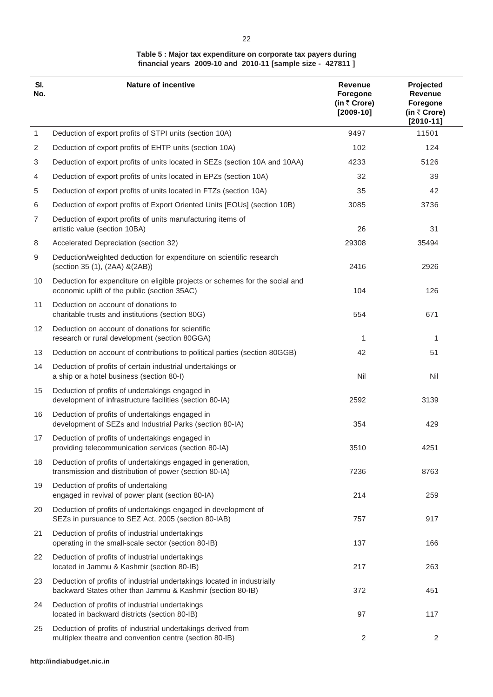## **Table 5 : Major tax expenditure on corporate tax payers during financial years 2009-10 and 2010-11 [sample size - 427811 ]**

| SI.<br>No.      | <b>Nature of incentive</b>                                                                                                            | <b>Revenue</b><br>Foregone<br>(in ₹ Crore)<br>$[2009-10]$ | Projected<br>Revenue<br>Foregone<br>(in ₹ Crore)<br>$[2010 - 11]$ |
|-----------------|---------------------------------------------------------------------------------------------------------------------------------------|-----------------------------------------------------------|-------------------------------------------------------------------|
| 1               | Deduction of export profits of STPI units (section 10A)                                                                               | 9497                                                      | 11501                                                             |
| 2               | Deduction of export profits of EHTP units (section 10A)                                                                               | 102                                                       | 124                                                               |
| 3               | Deduction of export profits of units located in SEZs (section 10A and 10AA)                                                           | 4233                                                      | 5126                                                              |
| 4               | Deduction of export profits of units located in EPZs (section 10A)                                                                    | 32                                                        | 39                                                                |
| 5               | Deduction of export profits of units located in FTZs (section 10A)                                                                    | 35                                                        | 42                                                                |
| 6               | Deduction of export profits of Export Oriented Units [EOUs] (section 10B)                                                             | 3085                                                      | 3736                                                              |
| 7               | Deduction of export profits of units manufacturing items of<br>artistic value (section 10BA)                                          | 26                                                        | 31                                                                |
| 8               | Accelerated Depreciation (section 32)                                                                                                 | 29308                                                     | 35494                                                             |
| 9               | Deduction/weighted deduction for expenditure on scientific research<br>(section 35 (1), (2AA) &(2AB))                                 | 2416                                                      | 2926                                                              |
| 10              | Deduction for expenditure on eligible projects or schemes for the social and<br>economic uplift of the public (section 35AC)          | 104                                                       | 126                                                               |
| 11              | Deduction on account of donations to<br>charitable trusts and institutions (section 80G)                                              | 554                                                       | 671                                                               |
| 12 <sup>2</sup> | Deduction on account of donations for scientific<br>research or rural development (section 80GGA)                                     | 1                                                         | 1                                                                 |
| 13              | Deduction on account of contributions to political parties (section 80GGB)                                                            | 42                                                        | 51                                                                |
| 14              | Deduction of profits of certain industrial undertakings or<br>a ship or a hotel business (section 80-I)                               | Nil                                                       | Nil                                                               |
| 15              | Deduction of profits of undertakings engaged in<br>development of infrastructure facilities (section 80-IA)                           | 2592                                                      | 3139                                                              |
| 16              | Deduction of profits of undertakings engaged in<br>development of SEZs and Industrial Parks (section 80-IA)                           | 354                                                       | 429                                                               |
| 17              | Deduction of profits of undertakings engaged in<br>providing telecommunication services (section 80-IA)                               | 3510                                                      | 4251                                                              |
| 18              | Deduction of profits of undertakings engaged in generation,<br>transmission and distribution of power (section 80-IA)                 | 7236                                                      | 8763                                                              |
| 19              | Deduction of profits of undertaking<br>engaged in revival of power plant (section 80-IA)                                              | 214                                                       | 259                                                               |
| 20              | Deduction of profits of undertakings engaged in development of<br>SEZs in pursuance to SEZ Act, 2005 (section 80-IAB)                 | 757                                                       | 917                                                               |
| 21              | Deduction of profits of industrial undertakings<br>operating in the small-scale sector (section 80-IB)                                | 137                                                       | 166                                                               |
| 22              | Deduction of profits of industrial undertakings<br>located in Jammu & Kashmir (section 80-IB)                                         | 217                                                       | 263                                                               |
| 23              | Deduction of profits of industrial undertakings located in industrially<br>backward States other than Jammu & Kashmir (section 80-IB) | 372                                                       | 451                                                               |
| 24              | Deduction of profits of industrial undertakings<br>located in backward districts (section 80-IB)                                      | 97                                                        | 117                                                               |
| 25              | Deduction of profits of industrial undertakings derived from<br>multiplex theatre and convention centre (section 80-IB)               | $\sqrt{2}$                                                | 2                                                                 |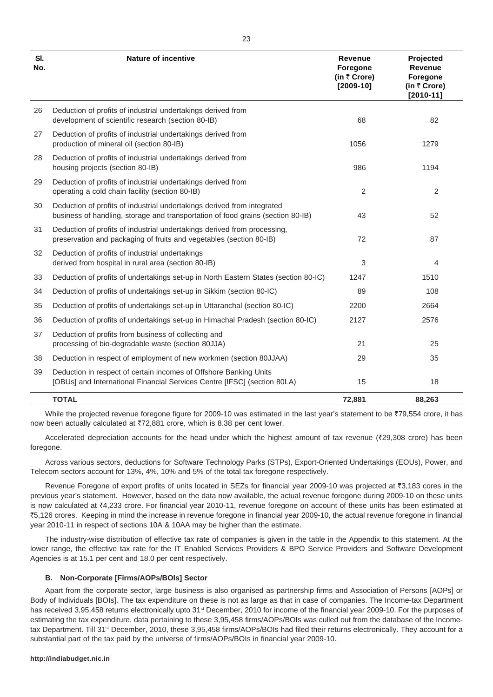| SI.<br>No. | <b>Nature of incentive</b>                                                                                                                                 | <b>Revenue</b><br>Foregone<br>(in ₹ Crore)<br>$[2009-10]$ | Projected<br><b>Revenue</b><br>Foregone<br>(in ₹ Crore)<br>$[2010-11]$ |
|------------|------------------------------------------------------------------------------------------------------------------------------------------------------------|-----------------------------------------------------------|------------------------------------------------------------------------|
| 26         | Deduction of profits of industrial undertakings derived from<br>development of scientific research (section 80-IB)                                         | 68                                                        | 82                                                                     |
| 27         | Deduction of profits of industrial undertakings derived from<br>production of mineral oil (section 80-IB)                                                  | 1056                                                      | 1279                                                                   |
| 28         | Deduction of profits of industrial undertakings derived from<br>housing projects (section 80-IB)                                                           | 986                                                       | 1194                                                                   |
| 29         | Deduction of profits of industrial undertakings derived from<br>operating a cold chain facility (section 80-IB)                                            | $\overline{2}$                                            | $\overline{2}$                                                         |
| 30         | Deduction of profits of industrial undertakings derived from integrated<br>business of handling, storage and transportation of food grains (section 80-IB) | 43                                                        | 52                                                                     |
| 31         | Deduction of profits of industrial undertakings derived from processing,<br>preservation and packaging of fruits and vegetables (section 80-IB)            | 72                                                        | 87                                                                     |
| 32         | Deduction of profits of industrial undertakings<br>derived from hospital in rural area (section 80-IB)                                                     | 3                                                         | 4                                                                      |
| 33         | Deduction of profits of undertakings set-up in North Eastern States (section 80-IC)                                                                        | 1247                                                      | 1510                                                                   |
| 34         | Deduction of profits of undertakings set-up in Sikkim (section 80-IC)                                                                                      | 89                                                        | 108                                                                    |
| 35         | Deduction of profits of undertakings set-up in Uttaranchal (section 80-IC)                                                                                 | 2200                                                      | 2664                                                                   |
| 36         | Deduction of profits of undertakings set-up in Himachal Pradesh (section 80-IC)                                                                            | 2127                                                      | 2576                                                                   |
| 37         | Deduction of profits from business of collecting and<br>processing of bio-degradable waste (section 80JJA)                                                 | 21                                                        | 25                                                                     |
| 38         | Deduction in respect of employment of new workmen (section 80JJAA)                                                                                         | 29                                                        | 35                                                                     |
| 39         | Deduction in respect of certain incomes of Offshore Banking Units<br>[OBUs] and International Financial Services Centre [IFSC] (section 80LA)              | 15                                                        | 18                                                                     |
|            | <b>TOTAL</b>                                                                                                                                               | 72,881                                                    | 88,263                                                                 |

While the projected revenue foregone figure for 2009-10 was estimated in the last year's statement to be  $\overline{779,554}$  crore, it has now been actually calculated at  $\overline{7}72.881$  crore, which is 8.38 per cent lower.

Accelerated depreciation accounts for the head under which the highest amount of tax revenue ( $\overline{29,308}$  crore) has been foregone.

Across various sectors, deductions for Software Technology Parks (STPs), Export-Oriented Undertakings (EOUs), Power, and Telecom sectors account for 13%, 4%, 10% and 5% of the total tax foregone respectively.

Revenue Foregone of export profits of units located in SEZs for financial year 2009-10 was projected at ₹3,183 cores in the previous year's statement. However, based on the data now available, the actual revenue foregone during 2009-10 on these units is now calculated at ₹4,233 crore. For financial year 2010-11, revenue foregone on account of these units has been estimated at `5,126 crores. Keeping in mind the increase in revenue foregone in financial year 2009-10, the actual revenue foregone in financial year 2010-11 in respect of sections 10A & 10AA may be higher than the estimate.

The industry-wise distribution of effective tax rate of companies is given in the table in the Appendix to this statement. At the lower range, the effective tax rate for the IT Enabled Services Providers & BPO Service Providers and Software Development Agencies is at 15.1 per cent and 18.0 per cent respectively.

## **B. Non-Corporate [Firms/AOPs/BOIs] Sector**

Apart from the corporate sector, large business is also organised as partnership firms and Association of Persons [AOPs] or Body of Individuals [BOIs]. The tax expenditure on these is not as large as that in case of companies. The Income-tax Department has received 3,95,458 returns electronically upto 31<sup>st</sup> December, 2010 for income of the financial year 2009-10. For the purposes of estimating the tax expenditure, data pertaining to these 3,95,458 firms/AOPs/BOIs was culled out from the database of the Incometax Department. Till 31<sup>st</sup> December, 2010, these 3,95,458 firms/AOPs/BOIs had filed their returns electronically. They account for a substantial part of the tax paid by the universe of firms/AOPs/BOIs in financial year 2009-10.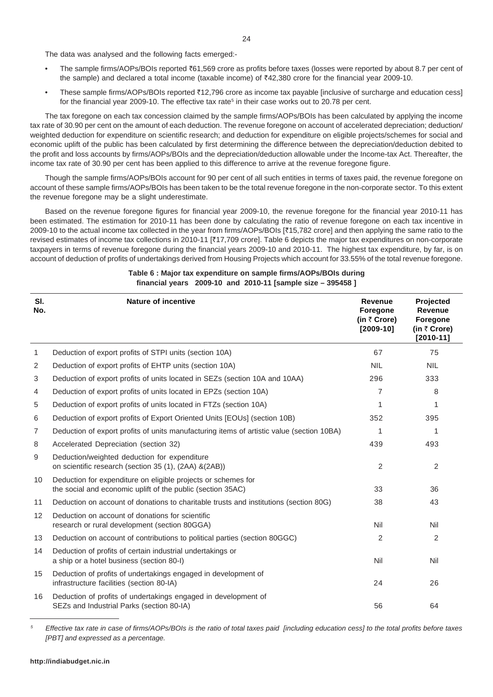The data was analysed and the following facts emerged:-

- The sample firms/AOPs/BOIs reported `61,569 crore as profits before taxes (losses were reported by about 8.7 per cent of the sample) and declared a total income (taxable income) of  $\overline{*}42,380$  crore for the financial year 2009-10.
- These sample firms/AOPs/BOIs reported ₹12,796 crore as income tax payable [inclusive of surcharge and education cess] for the financial year 2009-10. The effective tax rate<sup>5</sup> in their case works out to 20.78 per cent.

The tax foregone on each tax concession claimed by the sample firms/AOPs/BOIs has been calculated by applying the income tax rate of 30.90 per cent on the amount of each deduction. The revenue foregone on account of accelerated depreciation; deduction/ weighted deduction for expenditure on scientific research; and deduction for expenditure on eligible projects/schemes for social and economic uplift of the public has been calculated by first determining the difference between the depreciation/deduction debited to the profit and loss accounts by firms/AOPs/BOIs and the depreciation/deduction allowable under the Income-tax Act. Thereafter, the income tax rate of 30.90 per cent has been applied to this difference to arrive at the revenue foregone figure.

Though the sample firms/AOPs/BOIs account for 90 per cent of all such entities in terms of taxes paid, the revenue foregone on account of these sample firms/AOPs/BOIs has been taken to be the total revenue foregone in the non-corporate sector. To this extent the revenue foregone may be a slight underestimate.

Based on the revenue foregone figures for financial year 2009-10, the revenue foregone for the financial year 2010-11 has been estimated. The estimation for 2010-11 has been done by calculating the ratio of revenue foregone on each tax incentive in 2009-10 to the actual income tax collected in the year from firms/AOPs/BOIs [`15,782 crore] and then applying the same ratio to the revised estimates of income tax collections in 2010-11 [₹17,709 crore]. Table 6 depicts the major tax expenditures on non-corporate taxpayers in terms of revenue foregone during the financial years 2009-10 and 2010-11. The highest tax expenditure, by far, is on account of deduction of profits of undertakings derived from Housing Projects which account for 33.55% of the total revenue foregone.

| SI.<br>No. | <b>Nature of incentive</b>                                                                                                   | <b>Revenue</b><br><b>Foregone</b><br>(in ₹ Crore)<br>$[2009-10]$ | Projected<br>Revenue<br>Foregone<br>(in ₹ Crore)<br>$[2010-11]$ |
|------------|------------------------------------------------------------------------------------------------------------------------------|------------------------------------------------------------------|-----------------------------------------------------------------|
| 1          | Deduction of export profits of STPI units (section 10A)                                                                      | 67                                                               | 75                                                              |
| 2          | Deduction of export profits of EHTP units (section 10A)                                                                      | <b>NIL</b>                                                       | <b>NIL</b>                                                      |
| 3          | Deduction of export profits of units located in SEZs (section 10A and 10AA)                                                  | 296                                                              | 333                                                             |
| 4          | Deduction of export profits of units located in EPZs (section 10A)                                                           | 7                                                                | 8                                                               |
| 5          | Deduction of export profits of units located in FTZs (section 10A)                                                           | 1                                                                | 1                                                               |
| 6          | Deduction of export profits of Export Oriented Units [EOUs] (section 10B)                                                    | 352                                                              | 395                                                             |
| 7          | Deduction of export profits of units manufacturing items of artistic value (section 10BA)                                    | 1                                                                | 1                                                               |
| 8          | Accelerated Depreciation (section 32)                                                                                        | 439                                                              | 493                                                             |
| 9          | Deduction/weighted deduction for expenditure<br>on scientific research (section 35 (1), (2AA) &(2AB))                        | $\overline{2}$                                                   | $\mathbf{2}$                                                    |
| 10         | Deduction for expenditure on eligible projects or schemes for<br>the social and economic uplift of the public (section 35AC) | 33                                                               | 36                                                              |
| 11         | Deduction on account of donations to charitable trusts and institutions (section 80G)                                        | 38                                                               | 43                                                              |
| 12         | Deduction on account of donations for scientific<br>research or rural development (section 80GGA)                            | Nil                                                              | Nil                                                             |
| 13         | Deduction on account of contributions to political parties (section 80GGC)                                                   | 2                                                                | 2                                                               |
| 14         | Deduction of profits of certain industrial undertakings or<br>a ship or a hotel business (section 80-I)                      | Nil                                                              | Nil                                                             |
| 15         | Deduction of profits of undertakings engaged in development of<br>infrastructure facilities (section 80-IA)                  | 24                                                               | 26                                                              |
| 16         | Deduction of profits of undertakings engaged in development of<br>SEZs and Industrial Parks (section 80-IA)                  | 56                                                               | 64                                                              |

## **Table 6 : Major tax expenditure on sample firms/AOPs/BOIs during financial years 2009-10 and 2010-11 [sample size – 395458 ]**

*<sup>5</sup> Effective tax rate in case of firms/AOPs/BOIs is the ratio of total taxes paid [including education cess] to the total profits before taxes [PBT] and expressed as a percentage.*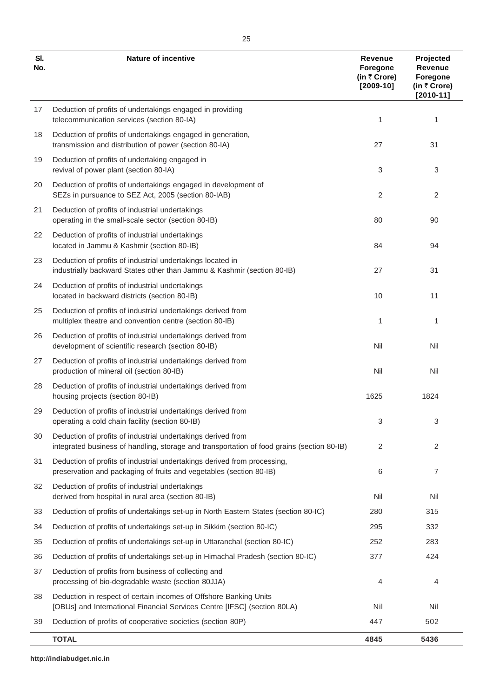| SI.<br>No. | <b>Nature of incentive</b>                                                                                                                                 | Revenue<br>Foregone<br>(in ₹ Crore)<br>$[2009-10]$ | Projected<br>Revenue<br>Foregone<br>(in ₹ Crore)<br>$[2010-11]$ |
|------------|------------------------------------------------------------------------------------------------------------------------------------------------------------|----------------------------------------------------|-----------------------------------------------------------------|
| 17         | Deduction of profits of undertakings engaged in providing<br>telecommunication services (section 80-IA)                                                    | 1                                                  | 1                                                               |
| 18         | Deduction of profits of undertakings engaged in generation,<br>transmission and distribution of power (section 80-IA)                                      | 27                                                 | 31                                                              |
| 19         | Deduction of profits of undertaking engaged in<br>revival of power plant (section 80-IA)                                                                   | 3                                                  | 3                                                               |
| 20         | Deduction of profits of undertakings engaged in development of<br>SEZs in pursuance to SEZ Act, 2005 (section 80-IAB)                                      | 2                                                  | 2                                                               |
| 21         | Deduction of profits of industrial undertakings<br>operating in the small-scale sector (section 80-IB)                                                     | 80                                                 | 90                                                              |
| 22         | Deduction of profits of industrial undertakings<br>located in Jammu & Kashmir (section 80-IB)                                                              | 84                                                 | 94                                                              |
| 23         | Deduction of profits of industrial undertakings located in<br>industrially backward States other than Jammu & Kashmir (section 80-IB)                      | 27                                                 | 31                                                              |
| 24         | Deduction of profits of industrial undertakings<br>located in backward districts (section 80-IB)                                                           | 10                                                 | 11                                                              |
| 25         | Deduction of profits of industrial undertakings derived from<br>multiplex theatre and convention centre (section 80-IB)                                    | 1                                                  | 1                                                               |
| 26         | Deduction of profits of industrial undertakings derived from<br>development of scientific research (section 80-IB)                                         | Nil                                                | Nil                                                             |
| 27         | Deduction of profits of industrial undertakings derived from<br>production of mineral oil (section 80-IB)                                                  | Nil                                                | Nil                                                             |
| 28         | Deduction of profits of industrial undertakings derived from<br>housing projects (section 80-IB)                                                           | 1625                                               | 1824                                                            |
| 29         | Deduction of profits of industrial undertakings derived from<br>operating a cold chain facility (section 80-IB)                                            | 3                                                  | 3                                                               |
| 30         | Deduction of profits of industrial undertakings derived from<br>integrated business of handling, storage and transportation of food grains (section 80-IB) | 2                                                  | 2                                                               |
| 31         | Deduction of profits of industrial undertakings derived from processing,<br>preservation and packaging of fruits and vegetables (section 80-IB)            | 6                                                  | 7                                                               |
| 32         | Deduction of profits of industrial undertakings<br>derived from hospital in rural area (section 80-IB)                                                     | Nil                                                | Nil                                                             |
| 33         | Deduction of profits of undertakings set-up in North Eastern States (section 80-IC)                                                                        | 280                                                | 315                                                             |
| 34         | Deduction of profits of undertakings set-up in Sikkim (section 80-IC)                                                                                      | 295                                                | 332                                                             |
| 35         | Deduction of profits of undertakings set-up in Uttaranchal (section 80-IC)                                                                                 | 252                                                | 283                                                             |
| 36         | Deduction of profits of undertakings set-up in Himachal Pradesh (section 80-IC)                                                                            | 377                                                | 424                                                             |
| 37         | Deduction of profits from business of collecting and<br>processing of bio-degradable waste (section 80JJA)                                                 | 4                                                  | 4                                                               |
| 38         | Deduction in respect of certain incomes of Offshore Banking Units<br>[OBUs] and International Financial Services Centre [IFSC] (section 80LA)              | Nil                                                | Nil                                                             |
| 39         | Deduction of profits of cooperative societies (section 80P)                                                                                                | 447                                                | 502                                                             |
|            | <b>TOTAL</b>                                                                                                                                               | 4845                                               | 5436                                                            |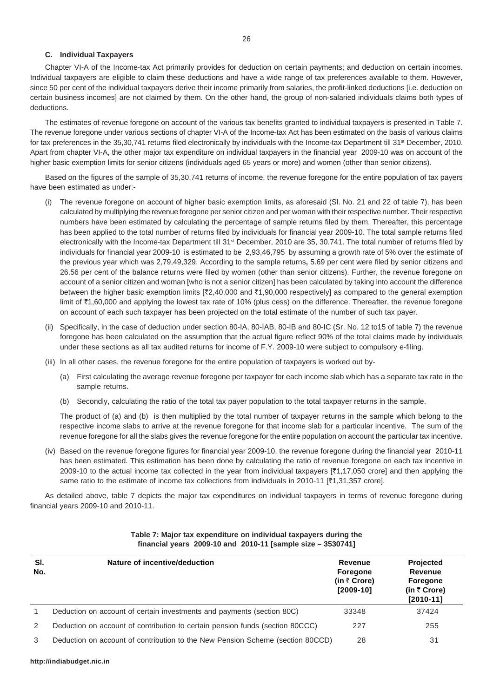### **C. Individual Taxpayers**

Chapter VI-A of the Income-tax Act primarily provides for deduction on certain payments; and deduction on certain incomes. Individual taxpayers are eligible to claim these deductions and have a wide range of tax preferences available to them. However, since 50 per cent of the individual taxpayers derive their income primarily from salaries, the profit-linked deductions [i.e. deduction on certain business incomes] are not claimed by them. On the other hand, the group of non-salaried individuals claims both types of deductions.

The estimates of revenue foregone on account of the various tax benefits granted to individual taxpayers is presented in Table 7. The revenue foregone under various sections of chapter VI-A of the Income-tax Act has been estimated on the basis of various claims for tax preferences in the 35,30,741 returns filed electronically by individuals with the Income-tax Department till 31<sup>st</sup> December, 2010. Apart from chapter VI-A, the other major tax expenditure on individual taxpayers in the financial year 2009-10 was on account of the higher basic exemption limits for senior citizens (individuals aged 65 years or more) and women (other than senior citizens).

Based on the figures of the sample of 35,30,741 returns of income, the revenue foregone for the entire population of tax payers have been estimated as under:-

- (i) The revenue foregone on account of higher basic exemption limits, as aforesaid (Sl. No. 21 and 22 of table 7), has been calculated by multiplying the revenue foregone per senior citizen and per woman with their respective number. Their respective numbers have been estimated by calculating the percentage of sample returns filed by them. Thereafter, this percentage has been applied to the total number of returns filed by individuals for financial year 2009-10. The total sample returns filed electronically with the Income-tax Department till 31<sup>st</sup> December, 2010 are 35, 30,741. The total number of returns filed by individuals for financial year 2009-10 is estimated to be 2,93,46,795 by assuming a growth rate of 5% over the estimate of the previous year which was 2,79,49,329. According to the sample returns**,** 5.69 per cent were filed by senior citizens and 26.56 per cent of the balance returns were filed by women (other than senior citizens). Further, the revenue foregone on account of a senior citizen and woman [who is not a senior citizen] has been calculated by taking into account the difference between the higher basic exemption limits  $[\overline{*}2,40,000$  and  $\overline{*}1,90,000$  respectively] as compared to the general exemption limit of ₹1,60,000 and applying the lowest tax rate of 10% (plus cess) on the difference. Thereafter, the revenue foregone on account of each such taxpayer has been projected on the total estimate of the number of such tax payer.
- (ii) Specifically, in the case of deduction under section 80-IA, 80-IAB, 80-IB and 80-IC (Sr. No. 12 to15 of table 7) the revenue foregone has been calculated on the assumption that the actual figure reflect 90% of the total claims made by individuals under these sections as all tax audited returns for income of F.Y. 2009-10 were subject to compulsory e-filing.
- (iii) In all other cases, the revenue foregone for the entire population of taxpayers is worked out by-
	- (a) First calculating the average revenue foregone per taxpayer for each income slab which has a separate tax rate in the sample returns.
	- (b) Secondly, calculating the ratio of the total tax payer population to the total taxpayer returns in the sample.

The product of (a) and (b) is then multiplied by the total number of taxpayer returns in the sample which belong to the respective income slabs to arrive at the revenue foregone for that income slab for a particular incentive. The sum of the revenue foregone for all the slabs gives the revenue foregone for the entire population on account the particular tax incentive.

(iv) Based on the revenue foregone figures for financial year 2009-10, the revenue foregone during the financial year 2010-11 has been estimated. This estimation has been done by calculating the ratio of revenue foregone on each tax incentive in 2009-10 to the actual income tax collected in the year from individual taxpayers  $[31,17,050$  crore] and then applying the same ratio to the estimate of income tax collections from individuals in 2010-11 [₹1,31,357 crore].

As detailed above, table 7 depicts the major tax expenditures on individual taxpayers in terms of revenue foregone during financial years 2009-10 and 2010-11.

| SI.<br>No.    | Nature of incentive/deduction                                                  | <b>Revenue</b><br><b>Foregone</b><br>(in $\bar{\tau}$ Crore)<br>$[2009-10]$ | <b>Projected</b><br><b>Revenue</b><br><b>Foregone</b><br>(in $\bar{\tau}$ Crore)<br>$[2010 - 11]$ |
|---------------|--------------------------------------------------------------------------------|-----------------------------------------------------------------------------|---------------------------------------------------------------------------------------------------|
| 1             | Deduction on account of certain investments and payments (section 80C)         | 33348                                                                       | 37424                                                                                             |
| $\mathcal{P}$ | Deduction on account of contribution to certain pension funds (section 80CCC)  | 227                                                                         | 255                                                                                               |
| 3             | Deduction on account of contribution to the New Pension Scheme (section 80CCD) | 28                                                                          | 31                                                                                                |

#### **Table 7: Major tax expenditure on individual taxpayers during the financial years 2009-10 and 2010-11 [sample size – 3530741]**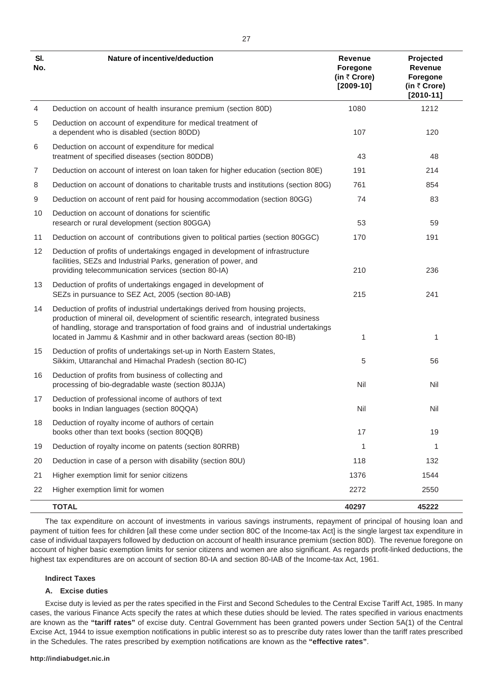| SI.<br>No. | Nature of incentive/deduction                                                                                                                                                                                                                                                                                                           | <b>Revenue</b><br>Foregone<br>(in ₹ Crore)<br>$[2009-10]$ | Projected<br>Revenue<br>Foregone<br>(in ₹ Crore)<br>$[2010 - 11]$ |
|------------|-----------------------------------------------------------------------------------------------------------------------------------------------------------------------------------------------------------------------------------------------------------------------------------------------------------------------------------------|-----------------------------------------------------------|-------------------------------------------------------------------|
| 4          | Deduction on account of health insurance premium (section 80D)                                                                                                                                                                                                                                                                          | 1080                                                      | 1212                                                              |
| 5          | Deduction on account of expenditure for medical treatment of<br>a dependent who is disabled (section 80DD)                                                                                                                                                                                                                              | 107                                                       | 120                                                               |
| 6          | Deduction on account of expenditure for medical<br>treatment of specified diseases (section 80DDB)                                                                                                                                                                                                                                      | 43                                                        | 48                                                                |
| 7          | Deduction on account of interest on loan taken for higher education (section 80E)                                                                                                                                                                                                                                                       | 191                                                       | 214                                                               |
| 8          | Deduction on account of donations to charitable trusts and institutions (section 80G)                                                                                                                                                                                                                                                   | 761                                                       | 854                                                               |
| 9          | Deduction on account of rent paid for housing accommodation (section 80GG)                                                                                                                                                                                                                                                              | 74                                                        | 83                                                                |
| 10         | Deduction on account of donations for scientific<br>research or rural development (section 80GGA)                                                                                                                                                                                                                                       | 53                                                        | 59                                                                |
| 11         | Deduction on account of contributions given to political parties (section 80GGC)                                                                                                                                                                                                                                                        | 170                                                       | 191                                                               |
| 12         | Deduction of profits of undertakings engaged in development of infrastructure<br>facilities, SEZs and Industrial Parks, generation of power, and<br>providing telecommunication services (section 80-IA)                                                                                                                                | 210                                                       | 236                                                               |
| 13         | Deduction of profits of undertakings engaged in development of<br>SEZs in pursuance to SEZ Act, 2005 (section 80-IAB)                                                                                                                                                                                                                   | 215                                                       | 241                                                               |
| 14         | Deduction of profits of industrial undertakings derived from housing projects,<br>production of mineral oil, development of scientific research, integrated business<br>of handling, storage and transportation of food grains and of industrial undertakings<br>located in Jammu & Kashmir and in other backward areas (section 80-IB) | 1                                                         | 1                                                                 |
| 15         | Deduction of profits of undertakings set-up in North Eastern States,<br>Sikkim, Uttaranchal and Himachal Pradesh (section 80-IC)                                                                                                                                                                                                        | 5                                                         | 56                                                                |
| 16         | Deduction of profits from business of collecting and<br>processing of bio-degradable waste (section 80JJA)                                                                                                                                                                                                                              | Nil                                                       | Nil                                                               |
| 17         | Deduction of professional income of authors of text<br>books in Indian languages (section 80QQA)                                                                                                                                                                                                                                        | Nil                                                       | Nil                                                               |
| 18         | Deduction of royalty income of authors of certain<br>books other than text books (section 80QQB)                                                                                                                                                                                                                                        | 17                                                        | 19                                                                |
| 19         | Deduction of royalty income on patents (section 80RRB)                                                                                                                                                                                                                                                                                  | 1                                                         | 1                                                                 |
| 20         | Deduction in case of a person with disability (section 80U)                                                                                                                                                                                                                                                                             | 118                                                       | 132                                                               |
| 21         | Higher exemption limit for senior citizens                                                                                                                                                                                                                                                                                              | 1376                                                      | 1544                                                              |
| 22         | Higher exemption limit for women                                                                                                                                                                                                                                                                                                        | 2272                                                      | 2550                                                              |
|            | <b>TOTAL</b>                                                                                                                                                                                                                                                                                                                            | 40297                                                     | 45222                                                             |

The tax expenditure on account of investments in various savings instruments, repayment of principal of housing loan and payment of tuition fees for children [all these come under section 80C of the Income-tax Act] is the single largest tax expenditure in case of individual taxpayers followed by deduction on account of health insurance premium (section 80D). The revenue foregone on account of higher basic exemption limits for senior citizens and women are also significant. As regards profit-linked deductions, the highest tax expenditures are on account of section 80-IA and section 80-IAB of the Income-tax Act, 1961.

### **Indirect Taxes**

### **A. Excise duties**

Excise duty is levied as per the rates specified in the First and Second Schedules to the Central Excise Tariff Act, 1985. In many cases, the various Finance Acts specify the rates at which these duties should be levied. The rates specified in various enactments are known as the **"tariff rates"** of excise duty. Central Government has been granted powers under Section 5A(1) of the Central Excise Act, 1944 to issue exemption notifications in public interest so as to prescribe duty rates lower than the tariff rates prescribed in the Schedules. The rates prescribed by exemption notifications are known as the **"effective rates"**.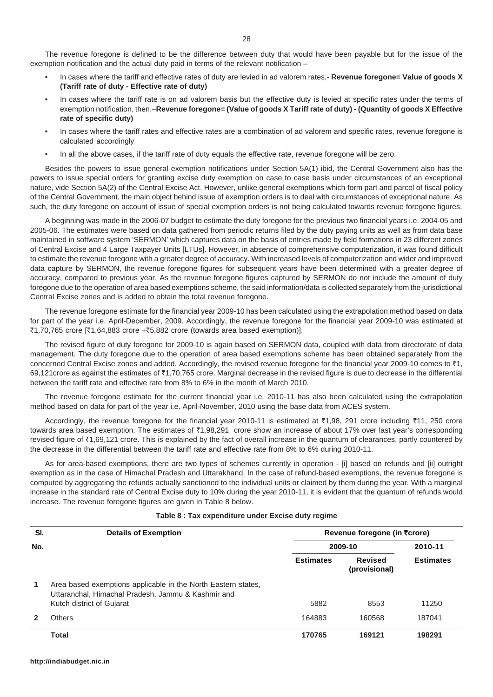The revenue foregone is defined to be the difference between duty that would have been payable but for the issue of the exemption notification and the actual duty paid in terms of the relevant notification –

- In cases where the tariff and effective rates of duty are levied in ad valorem rates,- **Revenue foregone= Value of goods X (Tariff rate of duty - Effective rate of duty)**
- In cases where the tariff rate is on ad valorem basis but the effective duty is levied at specific rates under the terms of exemption notification, then,–**Revenue foregone= (Value of goods X Tariff rate of duty) - (Quantity of goods X Effective rate of specific duty)**
- In cases where the tariff rates and effective rates are a combination of ad valorem and specific rates, revenue foregone is calculated accordingly
- In all the above cases, if the tariff rate of duty equals the effective rate, revenue foregone will be zero.

Besides the powers to issue general exemption notifications under Section 5A(1) ibid, the Central Government also has the powers to issue special orders for granting excise duty exemption on case to case basis under circumstances of an exceptional nature, vide Section 5A(2) of the Central Excise Act. However, unlike general exemptions which form part and parcel of fiscal policy of the Central Government, the main object behind issue of exemption orders is to deal with circumstances of exceptional nature. As such, the duty foregone on account of issue of special exemption orders is not being calculated towards revenue foregone figures.

A beginning was made in the 2006-07 budget to estimate the duty foregone for the previous two financial years i.e. 2004-05 and 2005-06. The estimates were based on data gathered from periodic returns filed by the duty paying units as well as from data base maintained in software system 'SERMON' which captures data on the basis of entries made by field formations in 23 different zones of Central Excise and 4 Large Taxpayer Units [LTUs]. However, in absence of comprehensive computerization, it was found difficult to estimate the revenue foregone with a greater degree of accuracy. With increased levels of computerization and wider and improved data capture by SERMON, the revenue foregone figures for subsequent years have been determined with a greater degree of accuracy, compared to previous year. As the revenue foregone figures captured by SERMON do not include the amount of duty foregone due to the operation of area based exemptions scheme, the said information/data is collected separately from the jurisdictional Central Excise zones and is added to obtain the total revenue foregone.

The revenue foregone estimate for the financial year 2009-10 has been calculated using the extrapolation method based on data for part of the year i.e. April-December, 2009. Accordingly, the revenue foregone for the financial year 2009-10 was estimated at  $\overline{51,70,765}$  crore  $[\overline{51,64,883}$  crore + $\overline{5,882}$  crore (towards area based exemption)].

The revised figure of duty foregone for 2009-10 is again based on SERMON data, coupled with data from directorate of data management. The duty foregone due to the operation of area based exemptions scheme has been obtained separately from the concerned Central Excise zones and added. Accordingly, the revised revenue foregone for the financial year 2009-10 comes to  $\bar{\tau}$ 1, 69,121crore as against the estimates of  $\bar{\tau}$ 1,70,765 crore. Marginal decrease in the revised figure is due to decrease in the differential between the tariff rate and effective rate from 8% to 6% in the month of March 2010.

The revenue foregone estimate for the current financial year i.e. 2010-11 has also been calculated using the extrapolation method based on data for part of the year i.e. April-November, 2010 using the base data from ACES system.

Accordingly, the revenue foregone for the financial year 2010-11 is estimated at ₹1,98, 291 crore including ₹11, 250 crore towards area based exemption. The estimates of ₹1,98,291 crore show an increase of about 17% over last year's corresponding revised figure of ₹1,69,121 crore. This is explained by the fact of overall increase in the quantum of clearances, partly countered by the decrease in the differential between the tariff rate and effective rate from 8% to 6% during 2010-11.

As for area-based exemptions, there are two types of schemes currently in operation - [i] based on refunds and [ii] outright exemption as in the case of Himachal Pradesh and Uttarakhand. In the case of refund-based exemptions, the revenue foregone is computed by aggregating the refunds actually sanctioned to the individual units or claimed by them during the year. With a marginal increase in the standard rate of Central Excise duty to 10% during the year 2010-11, it is evident that the quantum of refunds would increase. The revenue foregone figures are given in Table 8 below.

| SI. | <b>Details of Exemption</b>                                                                                                                      |                  | Revenue foregone (in ₹crore) |                  |
|-----|--------------------------------------------------------------------------------------------------------------------------------------------------|------------------|------------------------------|------------------|
| No. |                                                                                                                                                  |                  | 2009-10                      |                  |
|     |                                                                                                                                                  | <b>Estimates</b> | Revised<br>(provisional)     | <b>Estimates</b> |
| 1   | Area based exemptions applicable in the North Eastern states,<br>Uttaranchal, Himachal Pradesh, Jammu & Kashmir and<br>Kutch district of Gujarat | 5882             | 8553                         | 11250            |
|     | Others                                                                                                                                           | 164883           | 160568                       | 187041           |
|     | <b>Total</b>                                                                                                                                     | 170765           | 169121                       | 198291           |

#### **Table 8 : Tax expenditure under Excise duty regime**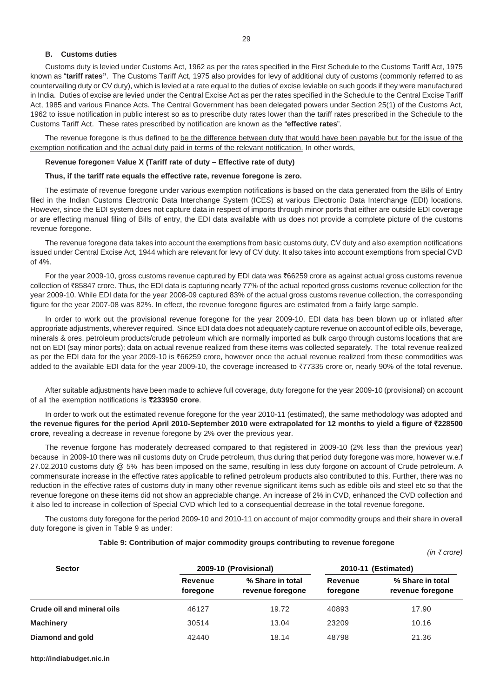#### **B. Customs duties**

Customs duty is levied under Customs Act, 1962 as per the rates specified in the First Schedule to the Customs Tariff Act, 1975 known as "**tariff rates"**. The Customs Tariff Act, 1975 also provides for levy of additional duty of customs (commonly referred to as countervailing duty or CV duty), which is levied at a rate equal to the duties of excise leviable on such goods if they were manufactured in India. Duties of excise are levied under the Central Excise Act as per the rates specified in the Schedule to the Central Excise Tariff Act, 1985 and various Finance Acts. The Central Government has been delegated powers under Section 25(1) of the Customs Act, 1962 to issue notification in public interest so as to prescribe duty rates lower than the tariff rates prescribed in the Schedule to the Customs Tariff Act. These rates prescribed by notification are known as the "**effective rates**".

The revenue foregone is thus defined to be the difference between duty that would have been payable but for the issue of the exemption notification and the actual duty paid in terms of the relevant notification. In other words,

#### **Revenue foregone= Value X (Tariff rate of duty – Effective rate of duty)**

### **Thus, if the tariff rate equals the effective rate, revenue foregone is zero.**

The estimate of revenue foregone under various exemption notifications is based on the data generated from the Bills of Entry filed in the Indian Customs Electronic Data Interchange System (ICES) at various Electronic Data Interchange (EDI) locations. However, since the EDI system does not capture data in respect of imports through minor ports that either are outside EDI coverage or are effecting manual filing of Bills of entry, the EDI data available with us does not provide a complete picture of the customs revenue foregone.

The revenue foregone data takes into account the exemptions from basic customs duty, CV duty and also exemption notifications issued under Central Excise Act, 1944 which are relevant for levy of CV duty. It also takes into account exemptions from special CVD of 4%.

For the year 2009-10, gross customs revenue captured by EDI data was ₹66259 crore as against actual gross customs revenue collection of `85847 crore. Thus, the EDI data is capturing nearly 77% of the actual reported gross customs revenue collection for the year 2009-10. While EDI data for the year 2008-09 captured 83% of the actual gross customs revenue collection, the corresponding figure for the year 2007-08 was 82%. In effect, the revenue foregone figures are estimated from a fairly large sample.

In order to work out the provisional revenue foregone for the year 2009-10, EDI data has been blown up or inflated after appropriate adjustments, wherever required. Since EDI data does not adequately capture revenue on account of edible oils, beverage, minerals & ores, petroleum products/crude petroleum which are normally imported as bulk cargo through customs locations that are not on EDI (say minor ports); data on actual revenue realized from these items was collected separately. The total revenue realized as per the EDI data for the year 2009-10 is ₹66259 crore, however once the actual revenue realized from these commodities was added to the available EDI data for the year 2009-10, the coverage increased to ₹77335 crore or, nearly 90% of the total revenue.

After suitable adjustments have been made to achieve full coverage, duty foregone for the year 2009-10 (provisional) on account of all the exemption notifications is `**233950 crore**.

In order to work out the estimated revenue foregone for the year 2010-11 (estimated), the same methodology was adopted and **the revenue figures for the period April 2010-September 2010 were extrapolated for 12 months to yield a figure of** `**228500 crore**, revealing a decrease in revenue foregone by 2% over the previous year.

The revenue forgone has moderately decreased compared to that registered in 2009-10 (2% less than the previous year) because in 2009-10 there was nil customs duty on Crude petroleum, thus during that period duty foregone was more, however w.e.f 27.02.2010 customs duty @ 5% has been imposed on the same, resulting in less duty forgone on account of Crude petroleum. A commensurate increase in the effective rates applicable to refined petroleum products also contributed to this. Further, there was no reduction in the effective rates of customs duty in many other revenue significant items such as edible oils and steel etc so that the revenue foregone on these items did not show an appreciable change. An increase of 2% in CVD, enhanced the CVD collection and it also led to increase in collection of Special CVD which led to a consequential decrease in the total revenue foregone.

The customs duty foregone for the period 2009-10 and 2010-11 on account of major commodity groups and their share in overall duty foregone is given in Table 9 as under:

#### **Table 9: Contribution of major commodity groups contributing to revenue foregone**

 *(in* ` *crore)*

| 2009-10 (Provisional) |                                      | 2010-11 (Estimated) |                                      |
|-----------------------|--------------------------------------|---------------------|--------------------------------------|
| Revenue<br>foregone   | % Share in total<br>revenue foregone | Revenue<br>foregone | % Share in total<br>revenue foregone |
| 46127                 | 19.72                                | 40893               | 17.90                                |
| 30514                 | 13.04                                | 23209               | 10.16                                |
| 42440                 | 18.14                                | 48798               | 21.36                                |
|                       |                                      |                     |                                      |

**http://indiabudget.nic.in**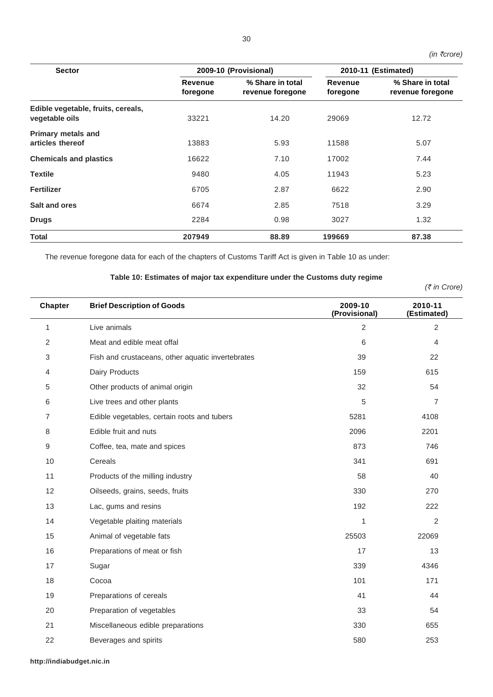| <b>Sector</b>                                        | 2009-10 (Provisional) |                                      |                     | 2010-11 (Estimated)                  |  |
|------------------------------------------------------|-----------------------|--------------------------------------|---------------------|--------------------------------------|--|
|                                                      | Revenue<br>foregone   | % Share in total<br>revenue foregone | Revenue<br>foregone | % Share in total<br>revenue foregone |  |
| Edible vegetable, fruits, cereals,<br>vegetable oils | 33221                 | 14.20                                | 29069               | 12.72                                |  |
| <b>Primary metals and</b><br>articles thereof        | 13883                 | 5.93                                 | 11588               | 5.07                                 |  |
| <b>Chemicals and plastics</b>                        | 16622                 | 7.10                                 | 17002               | 7.44                                 |  |
| <b>Textile</b>                                       | 9480                  | 4.05                                 | 11943               | 5.23                                 |  |
| <b>Fertilizer</b>                                    | 6705                  | 2.87                                 | 6622                | 2.90                                 |  |
| Salt and ores                                        | 6674                  | 2.85                                 | 7518                | 3.29                                 |  |
| <b>Drugs</b>                                         | 2284                  | 0.98                                 | 3027                | 1.32                                 |  |
| <b>Total</b>                                         | 207949                | 88.89                                | 199669              | 87.38                                |  |

The revenue foregone data for each of the chapters of Customs Tariff Act is given in Table 10 as under:

## **Table 10: Estimates of major tax expenditure under the Customs duty regime**

*(*` *in Crore)*

 *(in* `*crore)*

| <b>Chapter</b> | <b>Brief Description of Goods</b>                 | 2009-10<br>(Provisional) | 2010-11<br>(Estimated) |
|----------------|---------------------------------------------------|--------------------------|------------------------|
| 1              | Live animals                                      | $\overline{2}$           | $\overline{2}$         |
| 2              | Meat and edible meat offal                        | 6                        | $\overline{4}$         |
| 3              | Fish and crustaceans, other aquatic invertebrates | 39                       | 22                     |
| 4              | Dairy Products                                    | 159                      | 615                    |
| 5              | Other products of animal origin                   | 32                       | 54                     |
| 6              | Live trees and other plants                       | 5                        | $\overline{7}$         |
| $\overline{7}$ | Edible vegetables, certain roots and tubers       | 5281                     | 4108                   |
| 8              | Edible fruit and nuts                             | 2096                     | 2201                   |
| 9              | Coffee, tea, mate and spices                      | 873                      | 746                    |
| 10             | Cereals                                           | 341                      | 691                    |
| 11             | Products of the milling industry                  | 58                       | 40                     |
| 12             | Oilseeds, grains, seeds, fruits                   | 330                      | 270                    |
| 13             | Lac, gums and resins                              | 192                      | 222                    |
| 14             | Vegetable plaiting materials                      | 1                        | $\overline{2}$         |
| 15             | Animal of vegetable fats                          | 25503                    | 22069                  |
| 16             | Preparations of meat or fish                      | 17                       | 13                     |
| 17             | Sugar                                             | 339                      | 4346                   |
| 18             | Cocoa                                             | 101                      | 171                    |
| 19             | Preparations of cereals                           | 41                       | 44                     |
| 20             | Preparation of vegetables                         | 33                       | 54                     |
| 21             | Miscellaneous edible preparations                 | 330                      | 655                    |
| 22             | Beverages and spirits                             | 580                      | 253                    |

**http://indiabudget.nic.in**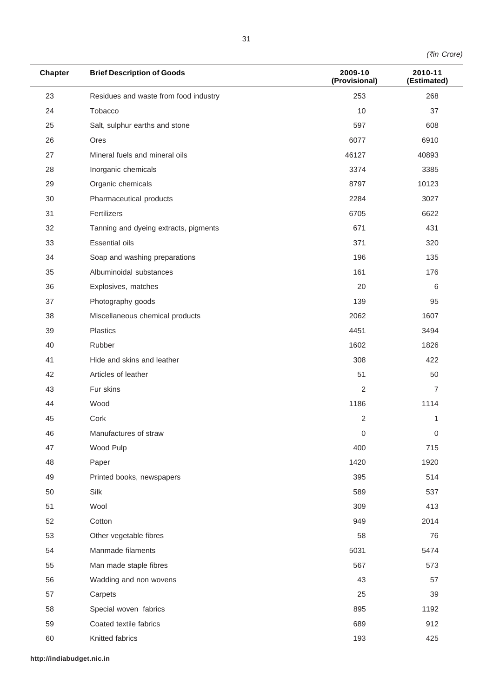*(*`*in Crore)*

| <b>Chapter</b> | <b>Brief Description of Goods</b>     | 2009-10<br>(Provisional) | 2010-11<br>(Estimated) |
|----------------|---------------------------------------|--------------------------|------------------------|
| 23             | Residues and waste from food industry | 253                      | 268                    |
| 24             | Tobacco                               | 10                       | 37                     |
| 25             | Salt, sulphur earths and stone        | 597                      | 608                    |
| 26             | Ores                                  | 6077                     | 6910                   |
| 27             | Mineral fuels and mineral oils        | 46127                    | 40893                  |
| 28             | Inorganic chemicals                   | 3374                     | 3385                   |
| 29             | Organic chemicals                     | 8797                     | 10123                  |
| 30             | Pharmaceutical products               | 2284                     | 3027                   |
| 31             | Fertilizers                           | 6705                     | 6622                   |
| 32             | Tanning and dyeing extracts, pigments | 671                      | 431                    |
| 33             | <b>Essential oils</b>                 | 371                      | 320                    |
| 34             | Soap and washing preparations         | 196                      | 135                    |
| 35             | Albuminoidal substances               | 161                      | 176                    |
| 36             | Explosives, matches                   | 20                       | 6                      |
| 37             | Photography goods                     | 139                      | 95                     |
| 38             | Miscellaneous chemical products       | 2062                     | 1607                   |
| 39             | Plastics                              | 4451                     | 3494                   |
| 40             | Rubber                                | 1602                     | 1826                   |
| 41             | Hide and skins and leather            | 308                      | 422                    |
| 42             | Articles of leather                   | 51                       | 50                     |
| 43             | Fur skins                             | 2                        | $\overline{7}$         |
| 44             | Wood                                  | 1186                     | 1114                   |
| 45             | Cork                                  | 2                        | 1                      |
| 46             | Manufactures of straw                 | 0                        | 0                      |
| 47             | Wood Pulp                             | 400                      | 715                    |
| 48             | Paper                                 | 1420                     | 1920                   |
| 49             | Printed books, newspapers             | 395                      | 514                    |
| 50             | Silk                                  | 589                      | 537                    |
| 51             | Wool                                  | 309                      | 413                    |
| 52             | Cotton                                | 949                      | 2014                   |
| 53             | Other vegetable fibres                | 58                       | 76                     |
| 54             | Manmade filaments                     | 5031                     | 5474                   |
| 55             | Man made staple fibres                | 567                      | 573                    |
| 56             | Wadding and non wovens                | 43                       | 57                     |
| 57             | Carpets                               | 25                       | 39                     |
| 58             | Special woven fabrics                 | 895                      | 1192                   |
| 59             | Coated textile fabrics                | 689                      | 912                    |
| 60             | Knitted fabrics                       | 193                      | 425                    |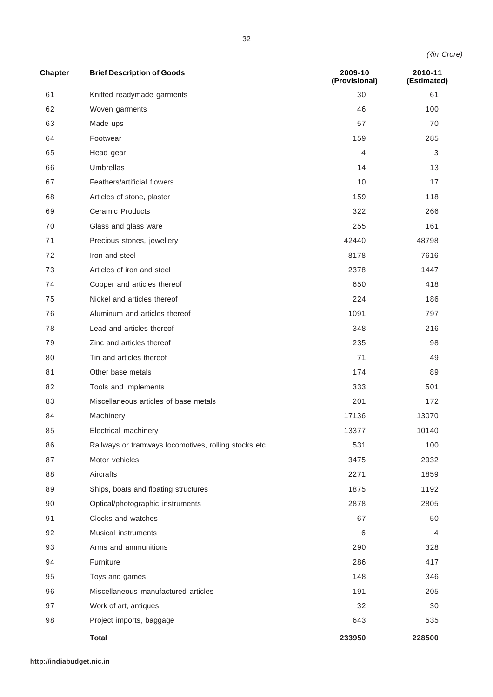|  | (₹in Crore) |
|--|-------------|
|--|-------------|

| <b>Chapter</b> | <b>Brief Description of Goods</b>                     | 2009-10<br>(Provisional) | 2010-11<br>(Estimated) |
|----------------|-------------------------------------------------------|--------------------------|------------------------|
| 61             | Knitted readymade garments                            | 30                       | 61                     |
| 62             | Woven garments                                        | 46                       | 100                    |
| 63             | Made ups                                              | 57                       | 70                     |
| 64             | Footwear                                              | 159                      | 285                    |
| 65             | Head gear                                             | 4                        | 3                      |
| 66             | Umbrellas                                             | 14                       | 13                     |
| 67             | Feathers/artificial flowers                           | 10                       | 17                     |
| 68             | Articles of stone, plaster                            | 159                      | 118                    |
| 69             | <b>Ceramic Products</b>                               | 322                      | 266                    |
| 70             | Glass and glass ware                                  | 255                      | 161                    |
| 71             | Precious stones, jewellery                            | 42440                    | 48798                  |
| 72             | Iron and steel                                        | 8178                     | 7616                   |
| 73             | Articles of iron and steel                            | 2378                     | 1447                   |
| 74             | Copper and articles thereof                           | 650                      | 418                    |
| 75             | Nickel and articles thereof                           | 224                      | 186                    |
| 76             | Aluminum and articles thereof                         | 1091                     | 797                    |
| 78             | Lead and articles thereof                             | 348                      | 216                    |
| 79             | Zinc and articles thereof                             | 235                      | 98                     |
| 80             | Tin and articles thereof                              | 71                       | 49                     |
| 81             | Other base metals                                     | 174                      | 89                     |
| 82             | Tools and implements                                  | 333                      | 501                    |
| 83             | Miscellaneous articles of base metals                 | 201                      | 172                    |
| 84             | Machinery                                             | 17136                    | 13070                  |
| 85             | Electrical machinery                                  | 13377                    | 10140                  |
| 86             | Railways or tramways locomotives, rolling stocks etc. | 531                      | 100                    |
| 87             | Motor vehicles                                        | 3475                     | 2932                   |
| 88             | Aircrafts                                             | 2271                     | 1859                   |
| 89             | Ships, boats and floating structures                  | 1875                     | 1192                   |
| 90             | Optical/photographic instruments                      | 2878                     | 2805                   |
| 91             | Clocks and watches                                    | 67                       | 50                     |
| 92             | Musical instruments                                   | 6                        | 4                      |
| 93             | Arms and ammunitions                                  | 290                      | 328                    |
| 94             | Furniture                                             | 286                      | 417                    |
| 95             | Toys and games                                        | 148                      | 346                    |
| 96             | Miscellaneous manufactured articles                   | 191                      | 205                    |
| 97             | Work of art, antiques                                 | 32                       | 30                     |
| 98             | Project imports, baggage                              | 643                      | 535                    |
|                | <b>Total</b>                                          | 233950                   | 228500                 |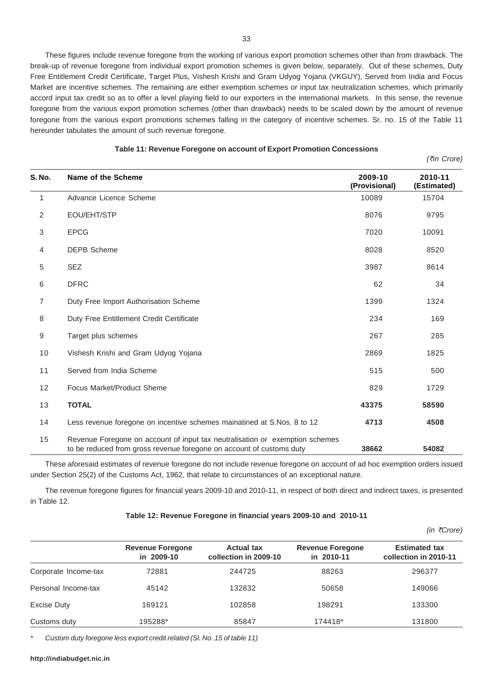These figures include revenue foregone from the working of various export promotion schemes other than from drawback. The break-up of revenue foregone from individual export promotion schemes is given below, separately. Out of these schemes, Duty Free Entitlement Credit Certificate, Target Plus, Vishesh Krishi and Gram Udyog Yojana (VKGUY), Served from India and Focus Market are incentive schemes. The remaining are either exemption schemes or input tax neutralization schemes, which primarily accord input tax credit so as to offer a level playing field to our exporters in the international markets. In this sense, the revenue foregone from the various export promotion schemes (other than drawback) needs to be scaled down by the amount of revenue foregone from the various export promotions schemes falling in the category of incentive schemes. Sr. no. 15 of the Table 11 hereunder tabulates the amount of such revenue foregone.

33

|               |                                                                                                                                                      |                          | (₹in Crore)            |
|---------------|------------------------------------------------------------------------------------------------------------------------------------------------------|--------------------------|------------------------|
| <b>S. No.</b> | Name of the Scheme                                                                                                                                   | 2009-10<br>(Provisional) | 2010-11<br>(Estimated) |
| $\mathbf{1}$  | Advance Licence Scheme                                                                                                                               | 10089                    | 15704                  |
| 2             | EOU/EHT/STP                                                                                                                                          | 8076                     | 9795                   |
| 3             | <b>EPCG</b>                                                                                                                                          | 7020                     | 10091                  |
| 4             | <b>DEPB Scheme</b>                                                                                                                                   | 8028                     | 8520                   |
| 5             | <b>SEZ</b>                                                                                                                                           | 3987                     | 8614                   |
| 6             | <b>DFRC</b>                                                                                                                                          | 62                       | 34                     |
| 7             | Duty Free Import Authorisation Scheme                                                                                                                | 1399                     | 1324                   |
| 8             | Duty Free Entitlement Credit Certificate                                                                                                             | 234                      | 169                    |
| 9             | Target plus schemes                                                                                                                                  | 267                      | 285                    |
| 10            | Vishesh Krishi and Gram Udyog Yojana                                                                                                                 | 2869                     | 1825                   |
| 11            | Served from India Scheme                                                                                                                             | 515                      | 500                    |
| 12            | Focus Market/Product Sheme                                                                                                                           | 829                      | 1729                   |
| 13            | <b>TOTAL</b>                                                                                                                                         | 43375                    | 58590                  |
| 14            | Less revenue foregone on incentive schemes mainatined at S.Nos. 8 to 12                                                                              | 4713                     | 4508                   |
| 15            | Revenue Foregone on account of input tax neutralisation or exemption schemes<br>to be reduced from gross revenue foregone on account of customs duty | 38662                    | 54082                  |

| Table 11: Revenue Foregone on account of Export Promotion Concessions |  |
|-----------------------------------------------------------------------|--|
|-----------------------------------------------------------------------|--|

These aforesaid estimates of revenue foregone do not include revenue foregone on account of ad hoc exemption orders issued under Section 25(2) of the Customs Act, 1962, that relate to circumstances of an exceptional nature.

The revenue foregone figures for financial years 2009-10 and 2010-11, in respect of both direct and indirect taxes, is presented in Table 12.

### **Table 12: Revenue Foregone in financial years 2009-10 and 2010-11**

|                      |                                       |                                            |                                       | (in ₹Core)                                    |
|----------------------|---------------------------------------|--------------------------------------------|---------------------------------------|-----------------------------------------------|
|                      | <b>Revenue Foregone</b><br>in 2009-10 | <b>Actual tax</b><br>collection in 2009-10 | <b>Revenue Foregone</b><br>in 2010-11 | <b>Estimated tax</b><br>collection in 2010-11 |
| Corporate Income-tax | 72881                                 | 244725                                     | 88263                                 | 296377                                        |
| Personal Income-tax  | 45142                                 | 132832                                     | 50658                                 | 149066                                        |
| <b>Excise Duty</b>   | 169121                                | 102858                                     | 198291                                | 133300                                        |
| Customs duty         | 195288*                               | 85847                                      | 174418*                               | 131800                                        |

*\* Custom duty foregone less export credit related (Sl. No. 15 of table 11)*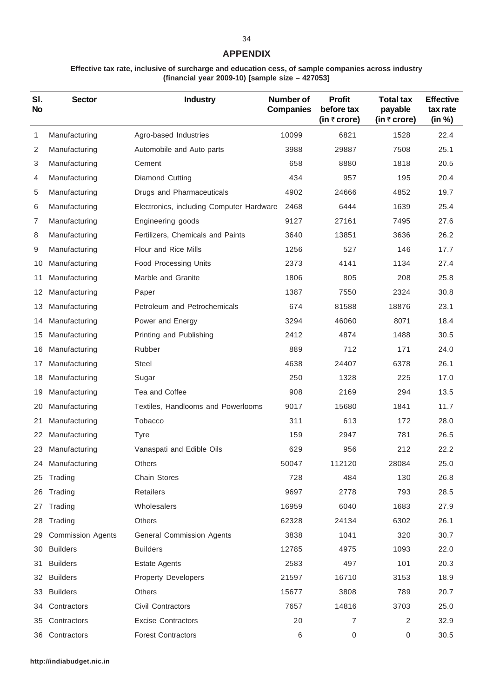# **APPENDIX**

# **Effective tax rate, inclusive of surcharge and education cess, of sample companies across industry (financial year 2009-10) [sample size – 427053]**

| SI.<br><b>No</b> | <b>Sector</b>            | <b>Industry</b>                          | Number of<br><b>Companies</b> | <b>Profit</b><br>before tax<br>(in $\bar{\tau}$ crore) | <b>Total tax</b><br>payable<br>(in $\bar{z}$ crore) | <b>Effective</b><br>tax rate<br>(in %) |
|------------------|--------------------------|------------------------------------------|-------------------------------|--------------------------------------------------------|-----------------------------------------------------|----------------------------------------|
| 1                | Manufacturing            | Agro-based Industries                    | 10099                         | 6821                                                   | 1528                                                | 22.4                                   |
| 2                | Manufacturing            | Automobile and Auto parts                | 3988                          | 29887                                                  | 7508                                                | 25.1                                   |
| 3                | Manufacturing            | Cement                                   | 658                           | 8880                                                   | 1818                                                | 20.5                                   |
| 4                | Manufacturing            | Diamond Cutting                          | 434                           | 957                                                    | 195                                                 | 20.4                                   |
| 5                | Manufacturing            | Drugs and Pharmaceuticals                | 4902                          | 24666                                                  | 4852                                                | 19.7                                   |
| 6                | Manufacturing            | Electronics, including Computer Hardware | 2468                          | 6444                                                   | 1639                                                | 25.4                                   |
| 7                | Manufacturing            | Engineering goods                        | 9127                          | 27161                                                  | 7495                                                | 27.6                                   |
| 8                | Manufacturing            | Fertilizers, Chemicals and Paints        | 3640                          | 13851                                                  | 3636                                                | 26.2                                   |
| 9                | Manufacturing            | Flour and Rice Mills                     | 1256                          | 527                                                    | 146                                                 | 17.7                                   |
| 10               | Manufacturing            | <b>Food Processing Units</b>             | 2373                          | 4141                                                   | 1134                                                | 27.4                                   |
| 11               | Manufacturing            | Marble and Granite                       | 1806                          | 805                                                    | 208                                                 | 25.8                                   |
| 12               | Manufacturing            | Paper                                    | 1387                          | 7550                                                   | 2324                                                | 30.8                                   |
| 13               | Manufacturing            | Petroleum and Petrochemicals             | 674                           | 81588                                                  | 18876                                               | 23.1                                   |
| 14               | Manufacturing            | Power and Energy                         | 3294                          | 46060                                                  | 8071                                                | 18.4                                   |
| 15               | Manufacturing            | Printing and Publishing                  | 2412                          | 4874                                                   | 1488                                                | 30.5                                   |
| 16               | Manufacturing            | Rubber                                   | 889                           | 712                                                    | 171                                                 | 24.0                                   |
| 17               | Manufacturing            | Steel                                    | 4638                          | 24407                                                  | 6378                                                | 26.1                                   |
| 18               | Manufacturing            | Sugar                                    | 250                           | 1328                                                   | 225                                                 | 17.0                                   |
| 19               | Manufacturing            | Tea and Coffee                           | 908                           | 2169                                                   | 294                                                 | 13.5                                   |
| 20               | Manufacturing            | Textiles, Handlooms and Powerlooms       | 9017                          | 15680                                                  | 1841                                                | 11.7                                   |
| 21               | Manufacturing            | Tobacco                                  | 311                           | 613                                                    | 172                                                 | 28.0                                   |
| 22               | Manufacturing            | <b>Tyre</b>                              | 159                           | 2947                                                   | 781                                                 | 26.5                                   |
| 23               | Manufacturing            | Vanaspati and Edible Oils                | 629                           | 956                                                    | 212                                                 | 22.2                                   |
| 24               | Manufacturing            | Others                                   | 50047                         | 112120                                                 | 28084                                               | 25.0                                   |
| 25               | Trading                  | Chain Stores                             | 728                           | 484                                                    | 130                                                 | 26.8                                   |
| 26               | Trading                  | Retailers                                | 9697                          | 2778                                                   | 793                                                 | 28.5                                   |
| 27               | Trading                  | Wholesalers                              | 16959                         | 6040                                                   | 1683                                                | 27.9                                   |
| 28               | Trading                  | Others                                   | 62328                         | 24134                                                  | 6302                                                | 26.1                                   |
| 29               | <b>Commission Agents</b> | General Commission Agents                | 3838                          | 1041                                                   | 320                                                 | 30.7                                   |
| 30               | <b>Builders</b>          | <b>Builders</b>                          | 12785                         | 4975                                                   | 1093                                                | 22.0                                   |
| 31               | <b>Builders</b>          | <b>Estate Agents</b>                     | 2583                          | 497                                                    | 101                                                 | 20.3                                   |
|                  | 32 Builders              | <b>Property Developers</b>               | 21597                         | 16710                                                  | 3153                                                | 18.9                                   |
| 33               | <b>Builders</b>          | <b>Others</b>                            | 15677                         | 3808                                                   | 789                                                 | 20.7                                   |
| 34               | Contractors              | Civil Contractors                        | 7657                          | 14816                                                  | 3703                                                | 25.0                                   |
| 35               | Contractors              | <b>Excise Contractors</b>                | 20                            | 7                                                      | $\overline{2}$                                      | 32.9                                   |
|                  | 36 Contractors           | <b>Forest Contractors</b>                | 6                             | 0                                                      | 0                                                   | 30.5                                   |